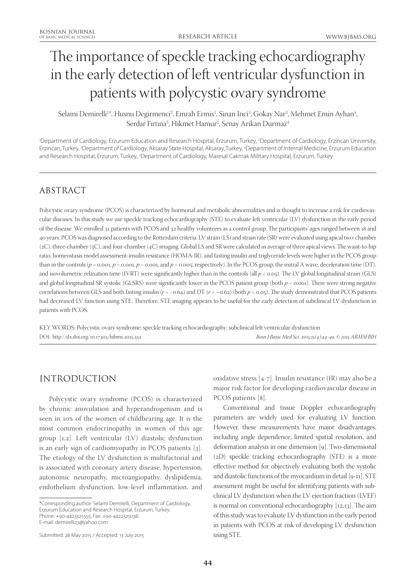# The importance of speckle tracking echocardiography in the early detection of left ventricular dysfunction in patients with polycystic ovary syndrome

Selami Demirelli<sup>1</sup>\*, Husnu Degirmenci<sup>2</sup>, Emrah Ermis<sup>1</sup>, Sinan Inci<sup>3</sup>, Gokay Nar<sup>3</sup>, Mehmet Emin Ayhan<sup>4</sup>, Serdar Fırtına5 , Hikmet Hamur2 , Senay Arikan Durmaz4

'Department of Cardiology, Erzurum Education and Research Hospital, Erzurum, Turkey, <sup>2</sup>Department of Cardiology, Erzincan University, Erzincan, Turkey, 3 Department of Cardiology, Aksaray State Hospital, Aksaray, Turkey, 4 Department of Internal Medicine, Erzurum Education and Research Hospital, Erzurum, Turkey, 5 Department of Cardiology, Maresal Cakmak Military Hospital, Erzurum, Turkey

# ABSTRACT

Polycystic ovary syndrome (PCOS) is characterized by hormonal and metabolic abnormalities and is thought to increase a risk for cardiovascular diseases. In this study we use speckle tracking echocardiography (STE) to evaluate left ventricular (LV) dysfunction in the early period of the disease. We enrolled 31 patients with PCOS and 32 healthy volunteers as a control group. The participants' ages ranged between 18 and 40 years. PCOS was diagnosed according to the Rotterdam criteria. LV strain (LS) and strain rate (SR) were evaluated using apical two-chamber (2C), three-chamber (3C), and four-chamber (4C) imaging. Global LS and SR were calculated as average of three apical views. The waist-to-hip ratio, homeostasis model assessment-insulin resistance (HOMA-IR), and fasting insulin and triglyceride levels were higher in the PCOS group than in the controls  $(p = 0.001, p = 0.001, p = 0.001,$  and  $p = 0.005$ , respectively). In the PCOS group, the mitral A wave, deceleration time (DT), and isovolumetric relaxation time (IVRT) were significantly higher than in the controls (all *p* < 0.05). The LV global longitudinal strain (GLS) and global longitudinal SR systolic (GLSRS) were significantly lower in the PCOS patient group (both *p* = 0.001). There were strong negative correlations between GLS and both fasting insulin (*r* = −0.64) and DT (*r* = –0.62) (both *p* < 0.05). The study demonstrated that PCOS patients had decreased LV function using STE. Therefore, STE imaging appears to be useful for the early detection of subclinical LV dysfunction in patients with PCOS.

KEY WORDS: Polycystic ovary syndrome; speckle tracking echocardiography; subclinical left ventricular dysfunction DOI: http://dx.doi.org/10.17305/bjbms.2015.552 *Bosn J Basic Med Sci. 2015;15(4):44-49. © 2015 ABMSFBIH*

# INTRODUCTION

Polycystic ovary syndrome (PCOS) is characterized by chronic anovulation and hyperandrogenism and is seen in 10% of the women of childbearing age. It is the most common endocrinopathy in women of this age group [1,2]. Left ventricular (LV) diastolic dysfunction is an early sign of cardiomyopathy in PCOS patients [3]. The etiology of the LV dysfunction is multifactorial and is associated with coronary artery disease, hypertension, autonomic neuropathy, microangiopathy, dyslipidemia, endothelium dysfunction, low-level inflammation, and

oxidative stress [4-7]. Insulin resistance (IR) may also be a major risk factor for developing cardiovascular disease in PCOS patients [8].

Conventional and tissue Doppler echocardiography parameters are widely used for evaluating LV function. However, these measurements have major disadvantages, including angle dependence, limited spatial resolution, and deformation analysis in one dimension [9]. Two-dimensional (2D) speckle tracking echocardiography (STE) is a more effective method for objectively evaluating both the systolic and diastolic functions of the myocardium in detail [9-11]. STE assessment might be useful for identifying patients with subclinical LV dysfunction when the LV ejection fraction (LVEF) is normal on conventional echocardiography [12,13]. The aim of this study was to evaluate LV dysfunction in the early period in patients with PCOS at risk of developing LV dysfunction using STE.

<sup>\*</sup>Corresponding author: Selami Demirelli, Department of Cardiology, Erzurum Education and Research Hospital, Erzurum, Turkey. Phone: +90-4423325555, Fax: +90-4422325038. E-mail: demirelli23@yahoo.com

Submitted: 28 May 2015 / Accepted: 13 July 2015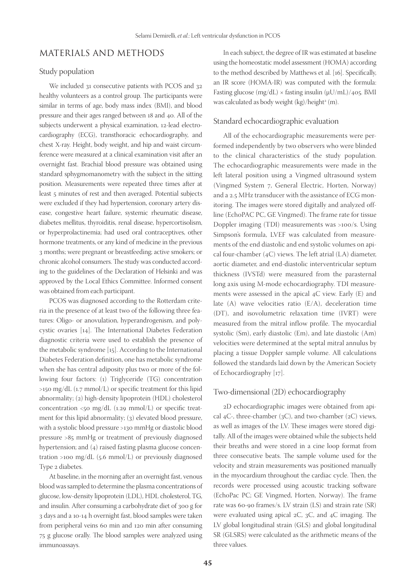## MATERIALS AND METHODS

## Study population

We included 31 consecutive patients with PCOS and 32 healthy volunteers as a control group. The participants were similar in terms of age, body mass index (BMI), and blood pressure and their ages ranged between 18 and 40. All of the subjects underwent a physical examination, 12-lead electrocardiography (ECG), transthoracic echocardiography, and chest X-ray. Height, body weight, and hip and waist circumference were measured at a clinical examination visit after an overnight fast. Brachial blood pressure was obtained using standard sphygmomanometry with the subject in the sitting position. Measurements were repeated three times after at least 5 minutes of rest and then averaged. Potential subjects were excluded if they had hypertension, coronary artery disease, congestive heart failure, systemic rheumatic disease, diabetes mellitus, thyroiditis, renal disease, hypercortisolism, or hyperprolactinemia; had used oral contraceptives, other hormone treatments, or any kind of medicine in the previous 3 months; were pregnant or breastfeeding; active smokers; or chronic alcohol consumers. The study was conducted according to the guidelines of the Declaration of Helsinki and was approved by the Local Ethics Committee. Informed consent was obtained from each participant.

PCOS was diagnosed according to the Rotterdam criteria in the presence of at least two of the following three features: Oligo- or anovulation, hyperandrogenism, and polycystic ovaries [14]. The International Diabetes Federation diagnostic criteria were used to establish the presence of the metabolic syndrome [15]. According to the International Diabetes Federation definition, one has metabolic syndrome when she has central adiposity plus two or more of the following four factors: (1) Triglyceride (TG) concentration >150 mg/dL (1.7 mmol/L) or specific treatment for this lipid abnormality; (2) high-density lipoprotein (HDL) cholesterol concentration <50  $mg/dL$  (1.29 mmol/L) or specific treatment for this lipid abnormality; (3) elevated blood pressure, with a systolic blood pressure >130 mmHg or diastolic blood pressure >85 mmHg or treatment of previously diagnosed hypertension; and (4) raised fasting plasma glucose concentration >100 mg/dL (5.6 mmol/L) or previously diagnosed Type 2 diabetes.

At baseline, in the morning after an overnight fast, venous blood was sampled to determine the plasma concentrations of glucose, low-density lipoprotein (LDL), HDL cholesterol, TG, and insulin. After consuming a carbohydrate diet of 300 g for 3 days and a 10-14 h overnight fast, blood samples were taken from peripheral veins 60 min and 120 min after consuming 75 g glucose orally. The blood samples were analyzed using immunoassays.

In each subject, the degree of IR was estimated at baseline using the homeostatic model assessment (HOMA) according to the method described by Matthews et al. [16]. Specifically, an IR score (HOMA-IR) was computed with the formula: Fasting glucose (mg/dL)  $\times$  fasting insulin ( $\mu$ U/mL)/405. BMI was calculated as body weight (kg)/height² (m).

#### Standard echocardiographic evaluation

All of the echocardiographic measurements were performed independently by two observers who were blinded to the clinical characteristics of the study population. The echocardiographic measurements were made in the left lateral position using a Vingmed ultrasound system (Vingmed System 7, General Electric, Horten, Norway) and a 2.5 MHz transducer with the assistance of ECG monitoring. The images were stored digitally and analyzed offline (EchoPAC PC, GE Vingmed). The frame rate for tissue Doppler imaging (TDI) measurements was >100/s. Using Simpson's formula, LVEF was calculated from measurements of the end diastolic and end systolic volumes on apical four-chamber  $(4C)$  views. The left atrial  $(LA)$  diameter, aortic diameter, and end-diastolic interventricular septum thickness (IVSTd) were measured from the parasternal long axis using M-mode echocardiography. TDI measurements were assessed in the apical 4C view. Early (E) and late (A) wave velocities ratio (E/A), deceleration time (DT), and isovolumetric relaxation time (IVRT) were measured from the mitral inflow profile. The myocardial systolic (Sm), early diastolic (Em), and late diastolic (Am) velocities were determined at the septal mitral annulus by placing a tissue Doppler sample volume. All calculations followed the standards laid down by the American Society of Echocardiography [17].

#### Two-dimensional (2D) echocardiography

2D echocardiographic images were obtained from apical  $4C$ -, three-chamber (3C), and two-chamber (2C) views, as well as images of the LV. These images were stored digitally. All of the images were obtained while the subjects held their breaths and were stored in a cine loop format from three consecutive beats. The sample volume used for the velocity and strain measurements was positioned manually in the myocardium throughout the cardiac cycle. Then, the records were processed using acoustic tracking software (EchoPac PC; GE Vingmed, Horten, Norway). The frame rate was 60-90 frames/s. LV strain (LS) and strain rate (SR) were evaluated using apical 2C, 3C, and 4C imaging. The LV global longitudinal strain (GLS) and global longitudinal SR (GLSRS) were calculated as the arithmetic means of the three values.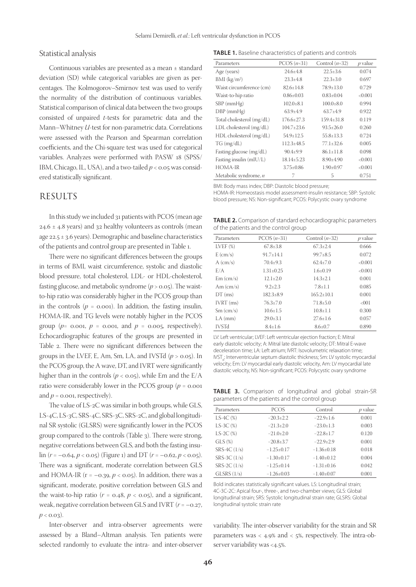#### Statistical analysis

Continuous variables are presented as a mean ± standard deviation (SD) while categorical variables are given as percentages. The Kolmogorov–Smirnov test was used to verify the normality of the distribution of continuous variables. Statistical comparison of clinical data between the two groups consisted of unpaired *t*-tests for parametric data and the Mann–Whitney *U*-test for non-parametric data. Correlations were assessed with the Pearson and Spearman correlation coefficients, and the Chi-square test was used for categorical variables. Analyzes were performed with PASW 18 (SPSS/ IBM, Chicago, IL, USA), and a two-tailed *p* < 0.05 was considered statistically significant.

## RESULTS

In this study we included 31 patients with PCOS (mean age  $24.6 \pm 4.8$  years) and 32 healthy volunteers as controls (mean age 22.5  $\pm$  3.6 years). Demographic and baseline characteristics of the patients and control group are presented in Table 1.

There were no significant differences between the groups in terms of BMI, waist circumference, systolic and diastolic blood pressure, total cholesterol, LDL- or HDL-cholesterol, fasting glucose, and metabolic syndrome (*p* > 0.05). The waistto-hip ratio was considerably higher in the PCOS group than in the controls  $(p = 0.001)$ . In addition, the fasting insulin, HOMA-IR, and TG levels were notably higher in the PCOS group ( $p=$  0.001,  $p=$  0.001, and  $p=$  0.005, respectively). Echocardiographic features of the groups are presented in Table 2. There were no significant differences between the groups in the LVEF, E, Am, Sm, LA, and IVSTd  $(p > 0.05)$ . In the PCOS group, the A wave, DT, and IVRT were significantly higher than in the controls ( $p <$  0.05), while Em and the E/A ratio were considerably lower in the PCOS group ( $p = 0.001$ ) and  $p = 0.001$ , respectively).

The value of LS-2C was similar in both groups, while GLS, LS-4C, LS-3C, SRS-4C, SRS-3C, SRS-2C, and global longitudinal SR systolic (GLSRS) were significantly lower in the PCOS group compared to the controls (Table 3). There were strong, negative correlations between GLS, and both the fasting insulin  $(r = -0.64, p < 0.05)$  (Figure 1) and DT  $(r = -0.62, p < 0.05)$ . There was a significant, moderate correlation between GLS and HOMA-IR  $(r = -0.39, p < 0.05)$ . In addition, there was a significant, moderate, positive correlation between GLS and the waist-to-hip ratio  $(r = 0.48, p < 0.05)$ , and a significant, weak, negative correlation between GLS and IVRT (*r* = –0.27,  $p < 0.03$ ).

Inter-observer and intra-observer agreements were assessed by a Bland–Altman analysis. Ten patients were selected randomly to evaluate the intra- and inter-observer

**TABLE 1.** Baseline characteristics of patients and controls

| Parameters                   | $PCOS(n=31)$     | Control $(n=32)$ | $p$ value |
|------------------------------|------------------|------------------|-----------|
| Age (years)                  | $24.6 \pm 4.8$   | $22.5 + 3.6$     | 0.074     |
| BMI (kg/m <sup>2</sup> )     | $23.3 \pm 4.8$   | $22.3 \pm 3.0$   | 0.697     |
| Waist circumference (cm)     | $82.6 + 14.8$    | $78.9 \pm 13.0$  | 0.729     |
| Waist-to-hip ratio           | $0.86 \pm 0.03$  | $0.83 \pm 0.04$  | < 0.001   |
| $SBP$ (mm $Hg$ )             | $102.0 \pm 8.1$  | $100.0 \pm 8.0$  | 0.994     |
| $DBP$ (mm $Hg$ )             | $63.9+4.9$       | $63.7 + 4.9$     | 0.922     |
| Total cholesterol (mg/dL)    | $176.6 \pm 27.3$ | $159.4 \pm 31.8$ | 0.119     |
| LDL cholesterol (mg/dL)      | $104.7 \pm 23.6$ | $93.5 + 26.0$    | 0.260     |
| HDL cholesterol (mg/dL)      | $54.9 \pm 12.5$  | $55.8 + 13.3$    | 0.724     |
| TG (mg/dL)                   | $112.3 \pm 48.5$ | $77.1 \pm 32.6$  | 0.005     |
| Fasting glucose (mg/dL)      | $90.4 \pm 9.9$   | $86.1 \pm 11.8$  | 0.098     |
| Fasting insulin (mIU/L)      | $18.14 \pm 5.23$ | $8.90 \pm 4.90$  | < 0.001   |
| HOMA-IR                      | $3.75 \pm 0.86$  | $1.90 \pm 0.97$  | < 0.001   |
| Metabolic syndrome, <i>n</i> |                  | 5                | 0.751     |

BMI: Body mass index; DBP: Diastolic blood pressure;

HOMA-IR: Homeostasis model assessment-insulin resistance; SBP: Systolic blood pressure; NS: Non-significant; PCOS: Polycystic ovary syndrome

**TABLE 2.** Comparison of standard echocardiographic parameters of the patients and the control group

| Parameters                      | $PCOS(n=31)$   | Control $(n=32)$ | $p$ value |
|---------------------------------|----------------|------------------|-----------|
| LVEF(%)                         | $67.8 \pm 3.8$ | $67.3 \pm 2.4$   | 0.666     |
| $E \left( \frac{cm}{s} \right)$ | $91.7 + 14.1$  | $99.7 \pm 8.5$   | 0.072     |
| $A$ (cm/s)                      | $70.4 \pm 9.3$ | $62.4 + 7.0$     | < 0.001   |
| E/A                             | $1.31 + 0.25$  | $1.6 + 0.19$     | < 0.001   |
| Em (cm/s)                       | $12.1 \pm 2.0$ | $14.3 + 2.1$     | 0.001     |
| Am $\langle$ cm/s $\rangle$     | $9.2 \pm 2.3$  | $7.8 + 1.1$      | 0.085     |
| $DT$ (ms)                       | $182.3 + 8.9$  | $165.2 + 10.1$   | 0.001     |
| $IVRT$ (ms)                     | $76.3 + 7.0$   | $71.8 + 5.0$     | < 001     |
| $Sm$ (cm/s)                     | $10.6 + 1.5$   | $10.8 + 1.1$     | 0.300     |
| $LA$ ( $mm$ )                   | $29.0 + 3.1$   | $27.6 + 1.6$     | 0.057     |
| <b>IVSTd</b>                    | $8.4 + 1.6$    | $8.6 \pm 0.7$    | 0.890     |

LV: Left ventricular; LVEF: Left ventricular ejection fraction; E: Mitral early diastolic velocity; A: Mitral late diastolic velocity; DT: Mitral E-wave deceleration time; LA: Left atrium; IVRT: Isovolumetric relaxation time; IVST<sub>a</sub>: Interventricular septum diastolic thickness; Sm: LV systolic myocardial velocity; Em: LV myocardial early diastolic velocity, Am: LV myocardial late diastolic velocity, NS: Non-significant; PCOS: Polycystic ovary syndrome

**TABLE 3.** Comparison of longitudinal and global strain-SR parameters of the patients and the control group

| <b>PCOS</b>     | Control         | $p$ value |
|-----------------|-----------------|-----------|
| $-20.3 \pm 2.2$ | $-22.9 \pm 1.6$ | 0.001     |
| $-21.3 \pm 2.0$ | $-23.0 \pm 1.3$ | 0.003     |
| $-21.0+2.0$     | $-22.8+1.7$     | 0.120     |
| $-20.8 \pm 3.7$ | $-22.9+2.9$     | 0.001     |
| $-1.25\pm0.17$  | $-1.36\pm0.18$  | 0.018     |
| $-1.30+0.17$    | $-1.40+0.12$    | 0.004     |
| $-1.25\pm0.14$  | $-1.31\pm0.16$  | 0.042     |
| $-1.26\pm0.03$  | $-1.40\pm0.07$  | 0.001     |
|                 |                 |           |

Bold indicates statistically significant values. LS: Longitudinal strain; 4C-3C-2C: Apical four-, three-, and two-chamber views; GLS: Global longitudinal strain; SRS: Systolic longitudinal strain rate; GLSRS: Global longitudinal systolic strain rate

variability. The inter-observer variability for the strain and SR parameters was < 4.9% and < 5%, respectively. The intra-observer variability was <4.5%.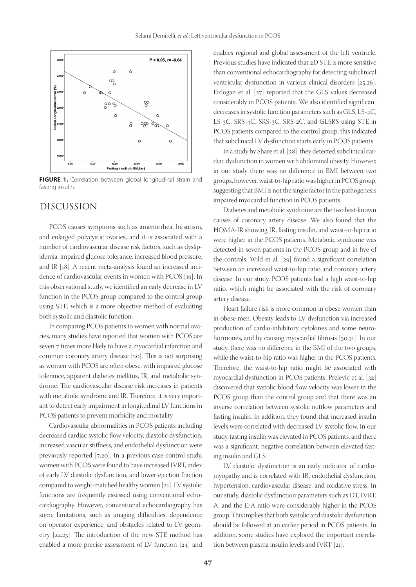

**FIGURE 1.** Correlation between global longitudinal strain and fasting insulin.

### DISCUSSION

PCOS causes symptoms such as amenorrhea, hirsutism, and enlarged polycystic ovaries, and it is associated with a number of cardiovascular disease risk factors, such as dyslipidemia, impaired glucose tolerance, increased blood pressure, and IR [18]. A recent meta-analysis found an increased incidence of cardiovascular events in women with PCOS [19]. In this observational study, we identified an early decrease in LV function in the PCOS group compared to the control group using STE, which is a more objective method of evaluating both systolic and diastolic function.

In comparing PCOS patients to women with normal ovaries, many studies have reported that women with PCOS are seven 7 times more likely to have a myocardial infarction and common coronary artery disease [20]. This is not surprising as women with PCOS are often obese, with impaired glucose tolerance, apparent diabetes mellitus, IR, and metabolic syndrome. The cardiovascular disease risk increases in patients with metabolic syndrome and IR. Therefore, it is very important to detect early impairment in longitudinal LV functions in PCOS patients to prevent morbidity and mortality.

Cardiovascular abnormalities in PCOS patients including decreased cardiac systolic flow velocity, diastolic dysfunction, increased vascular stiffness, and endothelial dysfunction were previously reported [7,20]. In a previous case-control study, women with PCOS were found to have increased IVRT, index of early LV diastolic dysfunction, and lower ejection fraction compared to weight-matched healthy women [21]. LV systolic functions are frequently assessed using conventional echocardiography. However, conventional echocardiography has some limitations, such as imaging difficulties, dependence on operator experience, and obstacles related to LV geometry [22,23]. The introduction of the new STE method has enabled a more precise assessment of LV function [24] and

enables regional and global assessment of the left ventricle. Previous studies have indicated that 2D STE is more sensitive than conventional echocardiography for detecting subclinical ventricular dysfunction in various clinical disorders [25,26]. Erdogan et al. [27] reported that the GLS values decreased considerably in PCOS patients. We also identified significant decreases in systolic function parameters such as GLS, LS-4C, LS-3C, SRS-4C, SRS-3C, SRS-2C, and GLSRS using STE in PCOS patients compared to the control group; this indicated that subclinical LV dysfunction starts early in PCOS patients.

In a study by Share et al. [28], they detected subclinical cardiac dysfunction in women with abdominal obesity. However, in our study there was no difference in BMI between two groups, however, waist-to-hip ratio was higher in PCOS group, suggesting that BMI is not the single factor in the pathogenesis impaired myocardial function in PCOS patients.

Diabetes and metabolic syndrome are the two best-known causes of coronary artery disease. We also found that the HOMA-IR showing IR, fasting insulin, and waist-to-hip ratio were higher in the PCOS patients. Metabolic syndrome was detected in seven patients in the PCOS group and in five of the controls. Wild et al. [29] found a significant correlation between an increased waist-to-hip ratio and coronary artery disease. In our study, PCOS patients had a high waist-to-hip ratio, which might be associated with the risk of coronary artery disease.

Heart failure risk is more common in obese women than in obese men. Obesity leads to LV dysfunction via increased production of cardio-inhibitory cytokines and some neurohormones, and by causing myocardial fibrosis [30,31]. In our study, there was no difference in the BMI of the two groups, while the waist-to-hip ratio was higher in the PCOS patients. Therefore, the waist-to-hip ratio might be associated with myocardial dysfunction in PCOS patients. Prelevic et al. [32] discovered that systolic blood flow velocity was lower in the PCOS group than the control group and that there was an inverse correlation between systolic outflow parameters and fasting insulin. In addition, they found that increased insulin levels were correlated with decreased LV systolic flow. In our study, fasting insulin was elevated in PCOS patients, and there was a significant, negative correlation between elevated fasting insulin and GLS.

LV diastolic dysfunction is an early indicator of cardiomyopathy and is correlated with IR, endothelial dysfunction, hypertension, cardiovascular disease, and oxidative stress. In our study, diastolic dysfunction parameters such as DT, IVRT, A, and the E/A ratio were considerably higher in the PCOS group. This implies that both systolic and diastolic dysfunction should be followed at an earlier period in PCOS patients. In addition, some studies have explored the important correlation between plasma insulin levels and IVRT [21].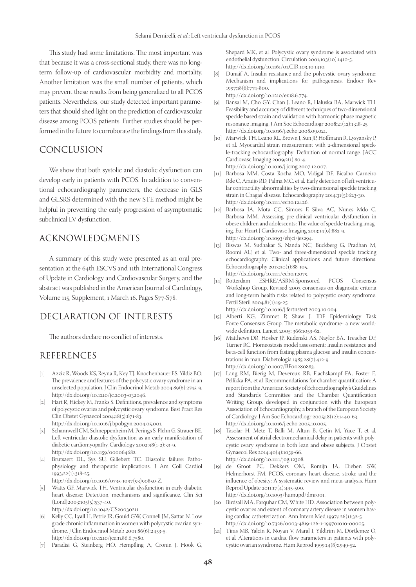This study had some limitations. The most important was that because it was a cross-sectional study, there was no longterm follow-up of cardiovascular morbidity and mortality. Another limitation was the small number of patients, which may prevent these results from being generalized to all PCOS patients. Nevertheless, our study detected important parameters that should shed light on the prediction of cardiovascular disease among PCOS patients. Further studies should be performed in the future to corroborate the findings from this study.

# CONCLUSION

We show that both systolic and diastolic dysfunction can develop early in patients with PCOS. In addition to conventional echocardiography parameters, the decrease in GLS and GLSRS determined with the new STE method might be helpful in preventing the early progression of asymptomatic subclinical LV dysfunction.

## ACKNOWLEDGMENTS

A summary of this study were presented as an oral presentation at the 64th ESCVS and 11th International Congress of Update in Cardiology and Cardiovascular Surgery, and the abstract was published in the American Journal of Cardiology, Volume 115, Supplement, 1 March 16, Pages S77-S78.

# DECLARATION OF INTERESTS

The authors declare no conflict of interests.

## REFERENCES

- [1] Azziz R, Woods KS, Reyna R, Key TJ, Knochenhauer ES, Yildiz BO. The prevalence and features of the polycystic ovary syndrome in an unselected population. J Clin Endocrinol Metab 2004;89(6):2745-9. http://dx.doi.org/10.1210/jc.2003-032046.
- [2] Hart R, Hickey M, Franks S. Definitions, prevalence and symptoms of polycystic ovaries and polycystic ovary syndrome. Best Pract Res Clin Obstet Gynaecol 2004;18(5):671-83. http://dx.doi.org/10.1016/j.bpobgyn.2004.05.001.
- [3] Schannwell CM, Schneppenheim M, Perings S, Plehn G, Strauer BE. Left ventricular diastolic dysfunction as an early manifestation of diabetic cardiomyopathy. Cardiology 2002;98(1-2):33-9. http://dx.doi.org/10.1159/000064682.
- [4] Brutsaert DL, Sys SU, Gillebert TC. Diastolic failure: Pathophysiology and therapeutic implications. J Am Coll Cardiol 1993;22(1):318-25.
	- http://dx.doi.org/10.1016/0735-1097(93)90850-Z.
- [5] Watts GF, Marwick TH. Ventricular dysfunction in early diabetic heart disease: Detection, mechanisms and significance. Clin Sci  $(Lond)_{2003;105(5):537-40.$ http://dx.doi.org/10.1042/CS20030211.
- [6] Kelly CC, Lyall H, Petrie JR, Gould GW, Connell JM, Sattar N. Low grade chronic inflammation in women with polycystic ovarian syndrome. J Clin Endocrinol Metab 2001;86(6):2453-5. http://dx.doi.org/10.1210/jcem.86.6.7580.
- [7] Paradisi G, Steinberg HO, Hempfling A, Cronin J, Hook G,

Shepard MK, et al*.* Polycystic ovary syndrome is associated with endothelial dysfunction. Circulation 2001;103(10):1410-5. http://dx.doi.org/10.1161/01.CIR.103.10.1410.

- [8] Dunaif A. Insulin resistance and the polycystic ovary syndrome: Mechanism and implications for pathogenesis. Endocr Rev 1997;18(6):774-800.
	- http://dx.doi.org/10.1210/er.18.6.774.
- [9] Bansal M, Cho GY, Chan J, Leano R, Haluska BA, Marwick TH. Feasibility and accuracy of different techniques of two-dimensional speckle based strain and validation with harmonic phase magnetic resonance imaging. J Am Soc Echocardiogr 2008;21(12):1318-25. http://dx.doi.org/10.1016/j.echo.2008.09.021.
- [10] Marwick TH, Leano RL, Brown J, Sun JP, Hoffmann R, Lysyansky P, et al*.* Myocardial strain measurement with 2-dimensional speckle-tracking echocardiography: Definition of normal range. JACC Cardiovasc Imaging 2009;2(1):80-4. http://dx.doi.org/10.1016/j.jcmg.2007.12.007.
- [11] Barbosa MM, Costa Rocha MO, Vidigal DF, Bicalho Carneiro Rde C, Araújo RD, Palma MC, et al*.* Early detection of left ventricular contractility abnormalities by two-dimensional speckle tracking strain in Chagas' disease. Echocardiography 2014;31(5):623-30. http://dx.doi.org/10.1111/echo.12426.
- [12] Barbosa JA, Mota CC, Simões E Silva AC, Nunes Mdo C, Barbosa MM. Assessing pre-clinical ventricular dysfunction in obese children and adolescents: The value of speckle tracking imaging. Eur Heart J Cardiovasc Imaging 2013;14(9):882-9. http://dx.doi.org/10.1093/ehjci/jes294.
- [13] Biswas M, Sudhakar S, Nanda NC, Buckberg G, Pradhan M, Roomi AU, et al*.* Two- and three-dimensional speckle tracking echocardiography: Clinical applications and future directions. Echocardiography 2013;30(1):88-105. http://dx.doi.org/10.1111/echo.12079.
- [14] Rotterdam ESHRE/ASRM-Sponsored PCOS Consensus Workshop Group. Revised 2003 consensus on diagnostic criteria and long-term health risks related to polycystic ovary syndrome. Fertil Steril 2004;81(1):19-25.
	- http://dx.doi.org/10.1016/j.fertnstert.2003.10.004.
- [15] Alberti KG, Zimmet P, Shaw J. IDF Epidemiology Task Force Consensus Group. The metabolic syndrome- a new worldwide definition. Lancet 2005; 366:1059-62.
- [16] Matthews DR, Hosker JP, Rudenski AS, Naylor BA, Treacher DF, Turner RC. Homeostasis model assessment: Insulin resistance and beta-cell function from fasting plasma glucose and insulin concentrations in man. Diabetologia 1985;28(7):412-9. http://dx.doi.org/10.1007/BF00280883.
- [17] Lang RM, Bierig M, Devereux RB, Flachskampf FA, Foster E, Pellikka PA, et al*.* Recommendations for chamber quantification: A report from the American Society of Echocardiography's Guidelines and Standards Committee and the Chamber Quantification Writing Group, developed in conjunction with the European Association of Echocardiography, a branch of the European Society of Cardiology. J Am Soc Echocardiogr 2005;18(12):1440-63. http://dx.doi.org/10.1016/j.echo.2005.10.005.
- [18] Tasolar H, Mete T, Balli M, Altun B, Çetin M, Yüce T, et al*.* Assessment of atrial electromechanical delay in patients with polycystic ovary syndrome in both lean and obese subjects. J Obstet Gynaecol Res 2014;40(4):1059-66. http://dx.doi.org/10.1111/jog.12308.
- [19] de Groot PC, Dekkers OM, Romijn JA, Dieben SW, Helmerhorst FM. PCOS, coronary heart disease, stroke and the influence of obesity: A systematic review and meta-analysis. Hum Reprod Update 2011;17(4):495-500. http://dx.doi.org/10.1093/humupd/dmr001.
- [20] Birdsall MA, Farquhar CM, White HD. Association between polycystic ovaries and extent of coronary artery disease in women having cardiac catheterization. Ann Intern Med 1997;126(1):32-5. http://dx.doi.org/10.7326/0003-4819-126-1-199701010-00005.
- [21] Tíras MB, Yalcìn R, Noyan V, Maral I, Yìldìrìm M, Dörtlemez O, et al*.* Alterations in cardiac flow parameters in patients with polycystic ovarian syndrome. Hum Reprod 1999;14(8):1949-52.